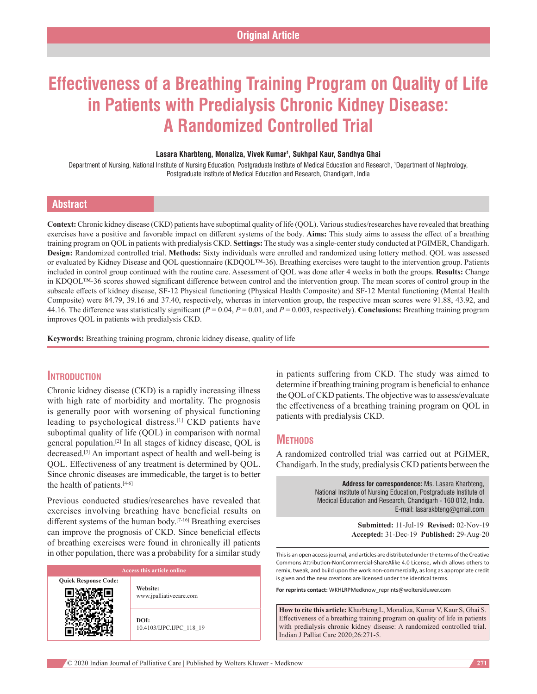# **Effectiveness of a Breathing Training Program on Quality of Life in Patients with Predialysis Chronic Kidney Disease: A Randomized Controlled Trial**

#### Lasara Kharbteng, Monaliza, Vivek Kumar<sup>1</sup>, Sukhpal Kaur, Sandhya Ghai

Department of Nursing, National Institute of Nursing Education, Postgraduate Institute of Medical Education and Research, 1 Department of Nephrology, Postgraduate Institute of Medical Education and Research, Chandigarh, India

### **Abstract**

**Context:** Chronic kidney disease (CKD) patients have suboptimal quality of life (QOL). Various studies/researches have revealed that breathing exercises have a positive and favorable impact on different systems of the body. **Aims:** This study aims to assess the effect of a breathing training program on QOL in patients with predialysis CKD. **Settings:** The study was a single‑center study conducted at PGIMER, Chandigarh. **Design:** Randomized controlled trial. **Methods:** Sixty individuals were enrolled and randomized using lottery method. QOL was assessed or evaluated by Kidney Disease and QOL questionnaire (KDQOL™‑36). Breathing exercises were taught to the intervention group. Patients included in control group continued with the routine care. Assessment of QOL was done after 4 weeks in both the groups. **Results:** Change in KDQOL™‑36 scores showed significant difference between control and the intervention group. The mean scores of control group in the subscale effects of kidney disease, SF‑12 Physical functioning (Physical Health Composite) and SF‑12 Mental functioning (Mental Health Composite) were 84.79, 39.16 and 37.40, respectively, whereas in intervention group, the respective mean scores were 91.88, 43.92, and 44.16. The difference was statistically significant (*P* = 0.04, *P* = 0.01, and *P* = 0.003, respectively). **Conclusions:** Breathing training program improves QOL in patients with predialysis CKD.

**Keywords:** Breathing training program, chronic kidney disease, quality of life

### **Introduction**

Chronic kidney disease (CKD) is a rapidly increasing illness with high rate of morbidity and mortality. The prognosis is generally poor with worsening of physical functioning leading to psychological distress.[1] CKD patients have suboptimal quality of life (QOL) in comparison with normal general population.[2] In all stages of kidney disease, QOL is decreased.<sup>[3]</sup> An important aspect of health and well-being is QOL. Effectiveness of any treatment is determined by QOL. Since chronic diseases are immedicable, the target is to better the health of patients. $[4-6]$ 

Previous conducted studies/researches have revealed that exercises involving breathing have beneficial results on different systems of the human body.<sup>[7-16]</sup> Breathing exercises can improve the prognosis of CKD. Since beneficial effects of breathing exercises were found in chronically ill patients in other population, there was a probability for a similar study

# **Quick Response Code: Website:** www.jpalliativecare.com **DOI:** 10.4103/IJPC.IJPC\_118\_19

in patients suffering from CKD. The study was aimed to determine if breathing training program is beneficial to enhance the QOL of CKD patients. The objective was to assess/evaluate the effectiveness of a breathing training program on QOL in patients with predialysis CKD.

### **METHODS**

A randomized controlled trial was carried out at PGIMER, Chandigarh. In the study, predialysis CKD patients between the

> **Address for correspondence:** Ms. Lasara Kharbteng, National Institute of Nursing Education, Postgraduate Institute of Medical Education and Research, Chandigarh - 160 012, India. E-mail: lasarakbteng@gmail.com

> > **Submitted:** 11-Jul-19 **Revised:** 02-Nov-19 **Accepted:** 31-Dec-19 **Published:** 29-Aug-20

This is an open access journal, and articles are distributed under the terms of the Creative Commons Attribution‑NonCommercial‑ShareAlike 4.0 License, which allows others to remix, tweak, and build upon the work non‑commercially, as long as appropriate credit is given and the new creations are licensed under the identical terms.

**For reprints contact:** WKHLRPMedknow\_reprints@wolterskluwer.com

**How to cite this article:** Kharbteng L, Monaliza, Kumar V, Kaur S, Ghai S. Effectiveness of a breathing training program on quality of life in patients with predialysis chronic kidney disease: A randomized controlled trial. Indian J Palliat Care 2020;26:271-5.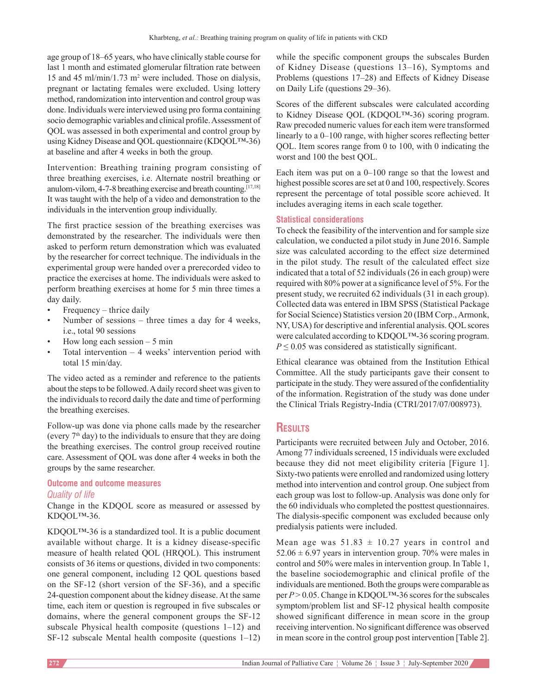age group of 18–65 years, who have clinically stable course for last 1 month and estimated glomerular filtration rate between 15 and 45 ml/min/1.73 m2 were included. Those on dialysis, pregnant or lactating females were excluded. Using lottery method, randomization into intervention and control group was done. Individuals were interviewed using pro forma containing socio demographic variables and clinical profile. Assessment of QOL was assessed in both experimental and control group by using Kidney Disease and QOL questionnaire (KDQOL™‑36) at baseline and after 4 weeks in both the group.

Intervention: Breathing training program consisting of three breathing exercises, i.e. Alternate nostril breathing or anulom-vilom, 4-7-8 breathing exercise and breath counting.<sup>[17,18]</sup> It was taught with the help of a video and demonstration to the individuals in the intervention group individually.

The first practice session of the breathing exercises was demonstrated by the researcher. The individuals were then asked to perform return demonstration which was evaluated by the researcher for correct technique. The individuals in the experimental group were handed over a prerecorded video to practice the exercises at home. The individuals were asked to perform breathing exercises at home for 5 min three times a day daily.

- $F$ requency thrice daily
- Number of sessions three times a day for 4 weeks, i.e., total 90 sessions
- How long each session  $-5$  min
- Total intervention  $-4$  weeks' intervention period with total 15 min/day.

The video acted as a reminder and reference to the patients about the steps to be followed. Adaily record sheet was given to the individuals to record daily the date and time of performing the breathing exercises.

Follow‑up was done via phone calls made by the researcher (every  $7<sup>th</sup>$  day) to the individuals to ensure that they are doing the breathing exercises. The control group received routine care. Assessment of QOL was done after 4 weeks in both the groups by the same researcher.

### **Outcome and outcome measures** *Quality of life*

Change in the KDQOL score as measured or assessed by KDQOL™-36.

KDOOL™-36 is a standardized tool. It is a public document available without charge. It is a kidney disease‑specific measure of health related QOL (HRQOL). This instrument consists of 36 items or questions, divided in two components: one general component, including 12 QOL questions based on the SF‑12 (short version of the SF‑36), and a specific 24‑question component about the kidney disease. At the same time, each item or question is regrouped in five subscales or domains, where the general component groups the SF-12 subscale Physical health composite (questions 1–12) and SF-12 subscale Mental health composite (questions  $1-12$ ) while the specific component groups the subscales Burden of Kidney Disease (questions 13–16), Symptoms and Problems (questions 17–28) and Effects of Kidney Disease on Daily Life (questions 29–36).

Scores of the different subscales were calculated according to Kidney Disease QOL (KDQOL™‑36) scoring program. Raw precoded numeric values for each item were transformed linearly to a 0–100 range, with higher scores reflecting better QOL. Item scores range from 0 to 100, with 0 indicating the worst and 100 the best QOL.

Each item was put on a 0–100 range so that the lowest and highest possible scores are set at 0 and 100, respectively. Scores represent the percentage of total possible score achieved. It includes averaging items in each scale together.

### **Statistical considerations**

To check the feasibility of the intervention and for sample size calculation, we conducted a pilot study in June 2016. Sample size was calculated according to the effect size determined in the pilot study. The result of the calculated effect size indicated that a total of 52 individuals(26 in each group) were required with 80% power at a significance level of 5%. For the present study, we recruited 62 individuals (31 in each group). Collected data was entered in IBM SPSS (Statistical Package for Social Science) Statistics version 20 (IBM Corp., Armonk, NY, USA) for descriptive and inferential analysis. QOL scores were calculated according to KDQOL™‑36 scoring program.  $P \leq 0.05$  was considered as statistically significant.

Ethical clearance was obtained from the Institution Ethical Committee. All the study participants gave their consent to participate in the study. They were assured of the confidentiality of the information. Registration of the study was done under the Clinical Trials Registry‑India (CTRI/2017/07/008973).

# **Results**

Participants were recruited between July and October, 2016. Among 77 individuals screened, 15 individuals were excluded because they did not meet eligibility criteria [Figure 1]. Sixty-two patients were enrolled and randomized using lottery method into intervention and control group. One subject from each group was lost to follow‑up. Analysis was done only for the 60 individuals who completed the posttest questionnaires. The dialysis-specific component was excluded because only predialysis patients were included.

Mean age was  $51.83 \pm 10.27$  years in control and  $52.06 \pm 6.97$  years in intervention group. 70% were males in control and 50% were males in intervention group. In Table 1, the baseline sociodemographic and clinical profile of the individuals are mentioned. Both the groups were comparable as per *P* > 0.05. Change in KDQOL™-36 scores for the subscales symptom/problem list and SF-12 physical health composite showed significant difference in mean score in the group receiving intervention. No significant difference was observed in mean score in the control group post intervention [Table 2].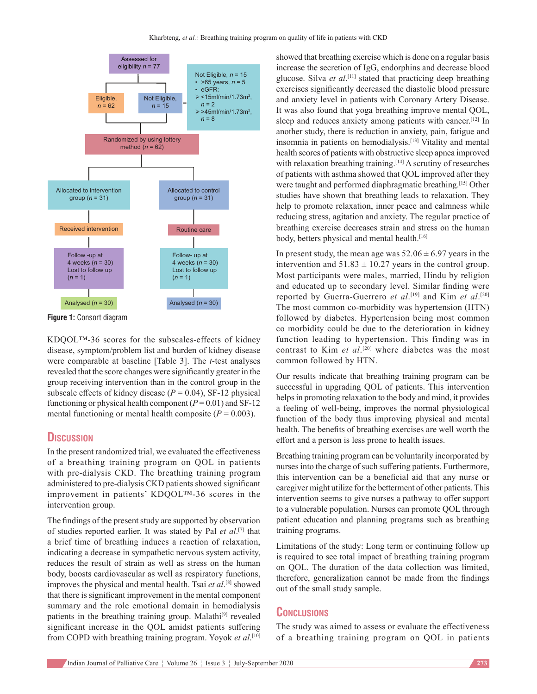

**Figure 1:** Consort diagram

KDQOL™-36 scores for the subscales-effects of kidney disease, symptom/problem list and burden of kidney disease were comparable at baseline [Table 3]. The *t*‑test analyses revealed that the score changes were significantly greater in the group receiving intervention than in the control group in the subscale effects of kidney disease  $(P = 0.04)$ , SF-12 physical functioning or physical health component  $(P=0.01)$  and SF-12 mental functioning or mental health composite ( $P = 0.003$ ).

# **Discussion**

In the present randomized trial, we evaluated the effectiveness of a breathing training program on QOL in patients with pre-dialysis CKD. The breathing training program administered to pre‑dialysis CKD patients showed significant improvement in patients' KDQOL™‑36 scores in the intervention group.

The findings of the present study are supported by observation of studies reported earlier. It was stated by Pal *et al*. [7] that a brief time of breathing induces a reaction of relaxation, indicating a decrease in sympathetic nervous system activity, reduces the result of strain as well as stress on the human body, boosts cardiovascular as well as respiratory functions, improves the physical and mental health. Tsai *et al*. [8] showed that there is significant improvement in the mental component summary and the role emotional domain in hemodialysis patients in the breathing training group. Malathi<sup>[9]</sup> revealed significant increase in the QOL amidst patients suffering from COPD with breathing training program. Yoyok *et al*. [10]

showed that breathing exercise which is done on a regular basis increase the secretion of IgG, endorphins and decrease blood glucose. Silva *et al*. [11] stated that practicing deep breathing exercises significantly decreased the diastolic blood pressure and anxiety level in patients with Coronary Artery Disease. It was also found that yoga breathing improve mental QOL, sleep and reduces anxiety among patients with cancer.<sup>[12]</sup> In another study, there is reduction in anxiety, pain, fatigue and insomnia in patients on hemodialysis.[13] Vitality and mental health scores of patients with obstructive sleep apnea improved with relaxation breathing training.<sup>[14]</sup> A scrutiny of researches of patients with asthma showed that QOL improved after they were taught and performed diaphragmatic breathing.[15] Other studies have shown that breathing leads to relaxation. They help to promote relaxation, inner peace and calmness while reducing stress, agitation and anxiety. The regular practice of breathing exercise decreases strain and stress on the human body, betters physical and mental health.<sup>[16]</sup>

In present study, the mean age was  $52.06 \pm 6.97$  years in the intervention and  $51.83 \pm 10.27$  years in the control group. Most participants were males, married, Hindu by religion and educated up to secondary level. Similar finding were reported by Guerra‑Guerrero *et al*. [19] and Kim *et al*. [20] The most common co-morbidity was hypertension (HTN) followed by diabetes. Hypertension being most common co morbidity could be due to the deterioration in kidney function leading to hypertension. This finding was in contrast to Kim *et al*. [20] where diabetes was the most common followed by HTN.

Our results indicate that breathing training program can be successful in upgrading QOL of patients. This intervention helps in promoting relaxation to the body and mind, it provides a feeling of well-being, improves the normal physiological function of the body thus improving physical and mental health. The benefits of breathing exercises are well worth the effort and a person is less prone to health issues.

Breathing training program can be voluntarily incorporated by nurses into the charge of such suffering patients. Furthermore, this intervention can be a beneficial aid that any nurse or caregiver might utilize for the betterment of other patients. This intervention seems to give nurses a pathway to offer support to a vulnerable population. Nurses can promote QOL through patient education and planning programs such as breathing training programs.

Limitations of the study: Long term or continuing follow up is required to see total impact of breathing training program on QOL. The duration of the data collection was limited, therefore, generalization cannot be made from the findings out of the small study sample.

# **Conclusions**

The study was aimed to assess or evaluate the effectiveness of a breathing training program on QOL in patients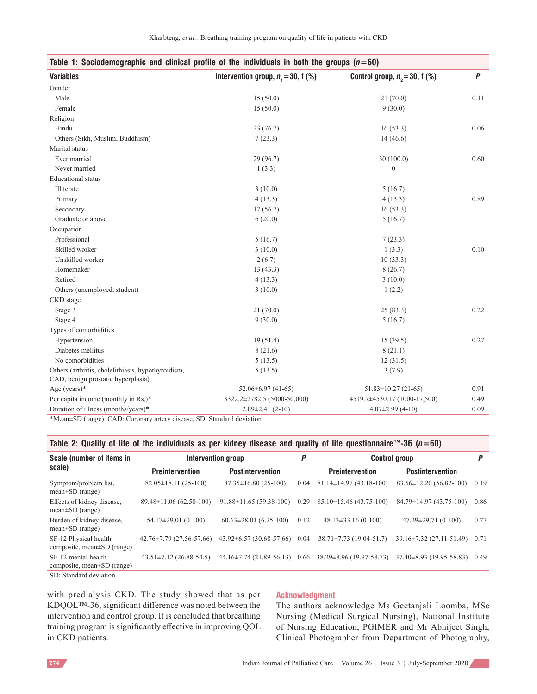| Table 1: Sociodemographic and clinical profile of the individuals in both the groups $(n=60)$ |                                        |                                |      |  |  |  |  |  |  |
|-----------------------------------------------------------------------------------------------|----------------------------------------|--------------------------------|------|--|--|--|--|--|--|
| <b>Variables</b>                                                                              | Intervention group, $n_1 = 30$ , f (%) | Control group, $n2=30$ , f (%) | Ρ    |  |  |  |  |  |  |
| Gender                                                                                        |                                        |                                |      |  |  |  |  |  |  |
| Male                                                                                          | 15(50.0)                               | 21(70.0)                       | 0.11 |  |  |  |  |  |  |
| Female                                                                                        | 15(50.0)                               | 9(30.0)                        |      |  |  |  |  |  |  |
| Religion                                                                                      |                                        |                                |      |  |  |  |  |  |  |
| Hindu                                                                                         | 23(76.7)                               | 16(53.3)                       | 0.06 |  |  |  |  |  |  |
| Others (Sikh, Muslim, Buddhism)                                                               | 7(23.3)                                | 14(46.6)                       |      |  |  |  |  |  |  |
| Marital status                                                                                |                                        |                                |      |  |  |  |  |  |  |
| Ever married                                                                                  | 29 (96.7)                              | 30(100.0)                      | 0.60 |  |  |  |  |  |  |
| Never married                                                                                 | 1(3.3)                                 | $\mathbf{0}$                   |      |  |  |  |  |  |  |
| <b>Educational</b> status                                                                     |                                        |                                |      |  |  |  |  |  |  |
| Illiterate                                                                                    | 3(10.0)                                | 5(16.7)                        |      |  |  |  |  |  |  |
| Primary                                                                                       | 4(13.3)                                | 4(13.3)                        | 0.89 |  |  |  |  |  |  |
| Secondary                                                                                     | 17(56.7)                               | 16(53.3)                       |      |  |  |  |  |  |  |
| Graduate or above                                                                             | 6(20.0)                                | 5(16.7)                        |      |  |  |  |  |  |  |
| Occupation                                                                                    |                                        |                                |      |  |  |  |  |  |  |
| Professional                                                                                  | 5(16.7)                                | 7(23.3)                        |      |  |  |  |  |  |  |
| Skilled worker                                                                                | 3(10.0)                                | 1(3.3)                         | 0.10 |  |  |  |  |  |  |
| Unskilled worker                                                                              | 2(6.7)                                 | 10(33.3)                       |      |  |  |  |  |  |  |
| Homemaker                                                                                     | 13(43.3)                               | 8(26.7)                        |      |  |  |  |  |  |  |
| Retired                                                                                       | 4(13.3)                                | 3(10.0)                        |      |  |  |  |  |  |  |
| Others (unemployed, student)                                                                  | 3(10.0)                                | 1(2.2)                         |      |  |  |  |  |  |  |
| CKD stage                                                                                     |                                        |                                |      |  |  |  |  |  |  |
| Stage 3                                                                                       | 21(70.0)                               | 25(83.3)                       | 0.22 |  |  |  |  |  |  |
| Stage 4                                                                                       | 9(30.0)                                | 5(16.7)                        |      |  |  |  |  |  |  |
| Types of comorbidities                                                                        |                                        |                                |      |  |  |  |  |  |  |
| Hypertension                                                                                  | 19(51.4)                               | 15(39.5)                       | 0.27 |  |  |  |  |  |  |
| Diabetes mellitus                                                                             | 8(21.6)                                | 8(21.1)                        |      |  |  |  |  |  |  |
| No comorbidities                                                                              | 5(13.5)                                | 12(31.5)                       |      |  |  |  |  |  |  |
| Others (arthritis, cholelithiasis, hypothyroidism,<br>CAD, benign prostatic hyperplasia)      | 5(13.5)                                | 3(7.9)                         |      |  |  |  |  |  |  |
| Age (years) $*$                                                                               | $52.06 \pm 6.97$ (41-65)               | $51.83 \pm 10.27$ (21-65)      | 0.91 |  |  |  |  |  |  |
| Per capita income (monthly in Rs.)*                                                           | 3322.2±2782.5 (5000-50,000)            | 4519.7±4530.17 (1000-17,500)   | 0.49 |  |  |  |  |  |  |
| Duration of illness (months/years)*                                                           | $2.89 \pm 2.41(2-10)$                  | $4.07 \pm 2.99$ (4-10)         | 0.09 |  |  |  |  |  |  |

### \*Mean±SD (range). CAD: Coronary artery disease, SD: Standard deviation

### **Table 2: Quality of life of the individuals as per kidney disease and quality of life questionnaire™‑36 (***n***=60)**

| Scale (number of items in<br>scale)                     |                                | Intervention group                  | P    | <b>Control group</b>                                             |                                     |      |
|---------------------------------------------------------|--------------------------------|-------------------------------------|------|------------------------------------------------------------------|-------------------------------------|------|
|                                                         | <b>Preintervention</b>         | <b>Postintervention</b>             |      | <b>Preintervention</b>                                           | <b>Postintervention</b>             |      |
| Symptom/problem list,<br>$mean \pm SD$ (range)          | $82.05 \pm 18.11(25-100)$      | $87.35 \pm 16.80(25-100)$           | 0.04 | $81.14 \pm 14.97(43.18 - 100)$                                   | $83.56 \pm 12.20$ (56.82-100)       | 0.19 |
| Effects of kidney disease,<br>$mean \pm SD$ (range)     | $89.48 \pm 11.06(62.50 - 100)$ | $91.88 \pm 11.65(59.38 \cdot 100)$  | 0.29 | $85.10\pm15.46(43.75-100)$                                       | $84.79 \pm 14.97$ (43.75-100)       | 0.86 |
| Burden of kidney disease,<br>$mean \pm SD$ (range)      | $54.17 \pm 29.01(0-100)$       | $60.63 \pm 28.01$ (6.25-100)        | 0.12 | $48.13 \pm 33.16(0-100)$                                         | $47.29 \pm 29.71(0-100)$            | 0.77 |
| SF-12 Physical health<br>composite, mean±SD (range)     | $42.76 \pm 7.79$ (27.56-57.66) | $43.92 \pm 6.57$ (30.68-57.66) 0.04 |      | $38.71 \pm 7.73$ (19.04-51.7)                                    | $39.16 \pm 7.32$ (27.11-51.49) 0.71 |      |
| SF-12 mental health<br>composite, mean $\pm SD$ (range) | $43.51 \pm 7.12$ (26.88-54.5)  |                                     |      | $44.16\pm7.74$ (21.89-56.13) 0.66 38.29 $\pm$ 8.96 (19.97-58.73) | $37.40 \pm 8.93$ (19.95-58.83)      | 0.49 |
| SD: Standard deviation                                  |                                |                                     |      |                                                                  |                                     |      |

with predialysis CKD. The study showed that as per KDQOL™‑36, significant difference was noted between the intervention and control group. It is concluded that breathing training program is significantly effective in improving QOL in CKD patients.

### **Acknowledgment**

The authors acknowledge Ms Geetanjali Loomba, MSc Nursing (Medical Surgical Nursing), National Institute of Nursing Education, PGIMER and Mr Abhijeet Singh, Clinical Photographer from Department of Photography,